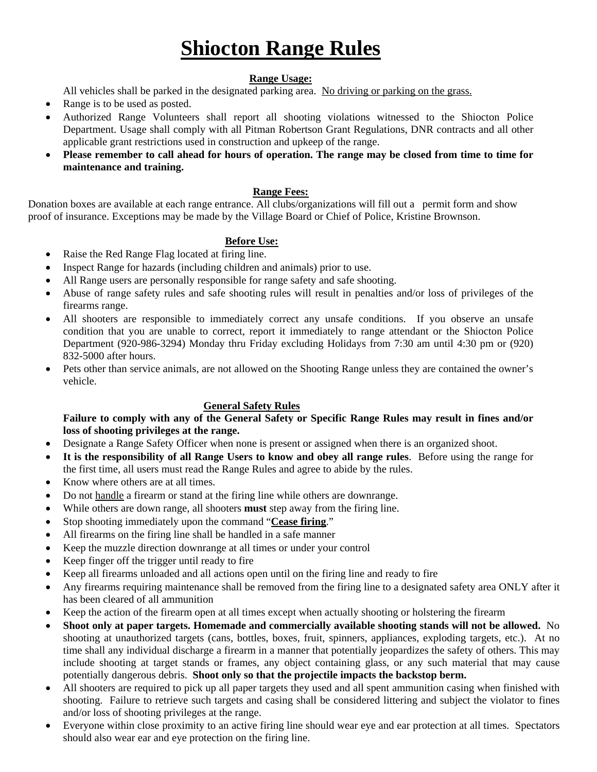# **Shiocton Range Rules**

#### **Range Usage:**

All vehicles shall be parked in the designated parking area. No driving or parking on the grass.

- Range is to be used as posted.
- Authorized Range Volunteers shall report all shooting violations witnessed to the Shiocton Police Department. Usage shall comply with all Pitman Robertson Grant Regulations, DNR contracts and all other applicable grant restrictions used in construction and upkeep of the range.
- **Please remember to call ahead for hours of operation. The range may be closed from time to time for maintenance and training.**

#### **Range Fees:**

Donation boxes are available at each range entrance. All clubs/organizations will fill out a permit form and show proof of insurance. Exceptions may be made by the Village Board or Chief of Police, Kristine Brownson.

# **Before Use:**

- Raise the Red Range Flag located at firing line.
- Inspect Range for hazards (including children and animals) prior to use.
- All Range users are personally responsible for range safety and safe shooting.
- Abuse of range safety rules and safe shooting rules will result in penalties and/or loss of privileges of the firearms range.
- All shooters are responsible to immediately correct any unsafe conditions. If you observe an unsafe condition that you are unable to correct, report it immediately to range attendant or the Shiocton Police Department (920-986-3294) Monday thru Friday excluding Holidays from 7:30 am until 4:30 pm or (920) 832-5000 after hours.
- Pets other than service animals, are not allowed on the Shooting Range unless they are contained the owner's vehicle.

# **General Safety Rules**

#### **Failure to comply with any of the General Safety or Specific Range Rules may result in fines and/or loss of shooting privileges at the range.**

- Designate a Range Safety Officer when none is present or assigned when there is an organized shoot.
- **It is the responsibility of all Range Users to know and obey all range rules**. Before using the range for the first time, all users must read the Range Rules and agree to abide by the rules.
- Know where others are at all times.
- Do not handle a firearm or stand at the firing line while others are downrange.
- While others are down range, all shooters **must** step away from the firing line.
- Stop shooting immediately upon the command "**Cease firing**."
- All firearms on the firing line shall be handled in a safe manner
- Keep the muzzle direction downrange at all times or under your control
- Keep finger off the trigger until ready to fire
- Keep all firearms unloaded and all actions open until on the firing line and ready to fire
- Any firearms requiring maintenance shall be removed from the firing line to a designated safety area ONLY after it has been cleared of all ammunition
- Keep the action of the firearm open at all times except when actually shooting or holstering the firearm
- **Shoot only at paper targets. Homemade and commercially available shooting stands will not be allowed.** No shooting at unauthorized targets (cans, bottles, boxes, fruit, spinners, appliances, exploding targets, etc.). At no time shall any individual discharge a firearm in a manner that potentially jeopardizes the safety of others. This may include shooting at target stands or frames, any object containing glass, or any such material that may cause potentially dangerous debris. **Shoot only so that the projectile impacts the backstop berm.**
- All shooters are required to pick up all paper targets they used and all spent ammunition casing when finished with shooting. Failure to retrieve such targets and casing shall be considered littering and subject the violator to fines and/or loss of shooting privileges at the range.
- Everyone within close proximity to an active firing line should wear eye and ear protection at all times. Spectators should also wear ear and eye protection on the firing line.